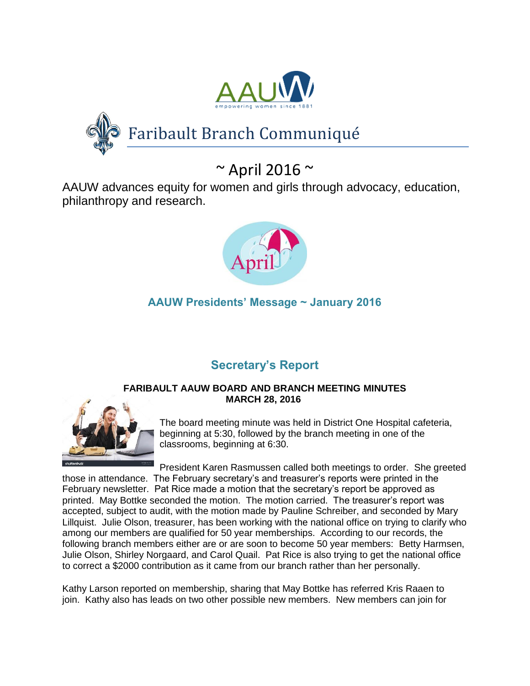



# Faribault Branch Communiqué

# $\sim$  April 2016  $\sim$

AAUW advances equity for women and girls through advocacy, education, philanthropy and research.



# **AAUW Presidents' Message ~ January 2016**

# **Secretary's Report**

### **FARIBAULT AAUW BOARD AND BRANCH MEETING MINUTES MARCH 28, 2016**



The board meeting minute was held in District One Hospital cafeteria, beginning at 5:30, followed by the branch meeting in one of the classrooms, beginning at 6:30.

President Karen Rasmussen called both meetings to order. She greeted those in attendance. The February secretary's and treasurer's reports were printed in the February newsletter. Pat Rice made a motion that the secretary's report be approved as printed. May Bottke seconded the motion. The motion carried. The treasurer's report was accepted, subject to audit, with the motion made by Pauline Schreiber, and seconded by Mary Lillquist. Julie Olson, treasurer, has been working with the national office on trying to clarify who among our members are qualified for 50 year memberships. According to our records, the following branch members either are or are soon to become 50 year members: Betty Harmsen, Julie Olson, Shirley Norgaard, and Carol Quail. Pat Rice is also trying to get the national office to correct a \$2000 contribution as it came from our branch rather than her personally.

Kathy Larson reported on membership, sharing that May Bottke has referred Kris Raaen to join. Kathy also has leads on two other possible new members. New members can join for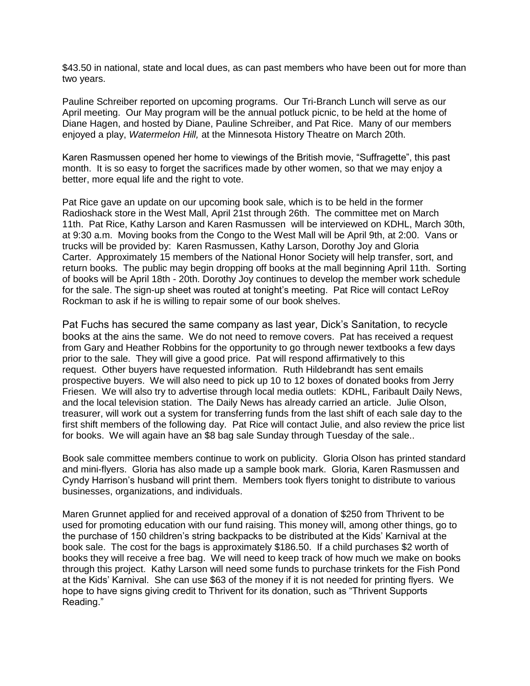\$43.50 in national, state and local dues, as can past members who have been out for more than two years.

Pauline Schreiber reported on upcoming programs. Our Tri-Branch Lunch will serve as our April meeting. Our May program will be the annual potluck picnic, to be held at the home of Diane Hagen, and hosted by Diane, Pauline Schreiber, and Pat Rice. Many of our members enjoyed a play, *Watermelon Hill,* at the Minnesota History Theatre on March 20th.

Karen Rasmussen opened her home to viewings of the British movie, "Suffragette", this past month. It is so easy to forget the sacrifices made by other women, so that we may enjoy a better, more equal life and the right to vote.

Pat Rice gave an update on our upcoming book sale, which is to be held in the former Radioshack store in the West Mall, April 21st through 26th. The committee met on March 11th. Pat Rice, Kathy Larson and Karen Rasmussen will be interviewed on KDHL, March 30th, at 9:30 a.m. Moving books from the Congo to the West Mall will be April 9th, at 2:00. Vans or trucks will be provided by: Karen Rasmussen, Kathy Larson, Dorothy Joy and Gloria Carter. Approximately 15 members of the National Honor Society will help transfer, sort, and return books. The public may begin dropping off books at the mall beginning April 11th. Sorting of books will be April 18th - 20th. Dorothy Joy continues to develop the member work schedule for the sale. The sign-up sheet was routed at tonight's meeting. Pat Rice will contact LeRoy Rockman to ask if he is willing to repair some of our book shelves.

Pat Fuchs has secured the same company as last year, Dick's Sanitation, to recycle books at the ains the same. We do not need to remove covers. Pat has received a request from Gary and Heather Robbins for the opportunity to go through newer textbooks a few days prior to the sale. They will give a good price. Pat will respond affirmatively to this request. Other buyers have requested information. Ruth Hildebrandt has sent emails prospective buyers. We will also need to pick up 10 to 12 boxes of donated books from Jerry Friesen. We will also try to advertise through local media outlets: KDHL, Faribault Daily News, and the local television station. The Daily News has already carried an article. Julie Olson, treasurer, will work out a system for transferring funds from the last shift of each sale day to the first shift members of the following day. Pat Rice will contact Julie, and also review the price list for books. We will again have an \$8 bag sale Sunday through Tuesday of the sale..

Book sale committee members continue to work on publicity. Gloria Olson has printed standard and mini-flyers. Gloria has also made up a sample book mark. Gloria, Karen Rasmussen and Cyndy Harrison's husband will print them. Members took flyers tonight to distribute to various businesses, organizations, and individuals.

Maren Grunnet applied for and received approval of a donation of \$250 from Thrivent to be used for promoting education with our fund raising. This money will, among other things, go to the purchase of 150 children's string backpacks to be distributed at the Kids' Karnival at the book sale. The cost for the bags is approximately \$186.50. If a child purchases \$2 worth of books they will receive a free bag. We will need to keep track of how much we make on books through this project. Kathy Larson will need some funds to purchase trinkets for the Fish Pond at the Kids' Karnival. She can use \$63 of the money if it is not needed for printing flyers. We hope to have signs giving credit to Thrivent for its donation, such as "Thrivent Supports Reading."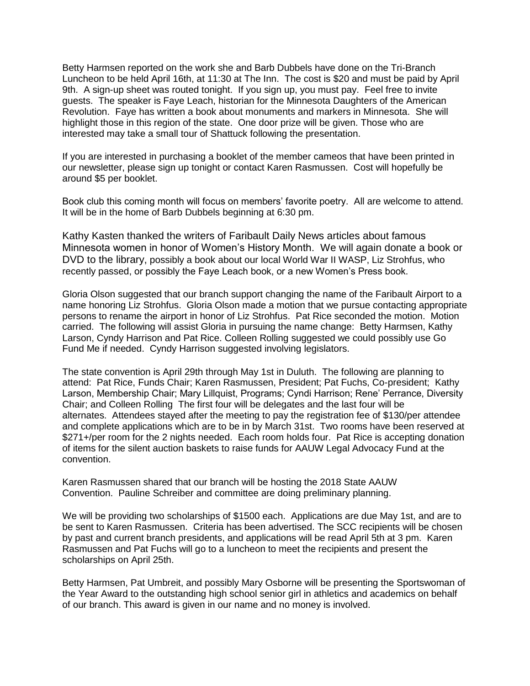Betty Harmsen reported on the work she and Barb Dubbels have done on the Tri-Branch Luncheon to be held April 16th, at 11:30 at The Inn. The cost is \$20 and must be paid by April 9th. A sign-up sheet was routed tonight. If you sign up, you must pay. Feel free to invite guests. The speaker is Faye Leach, historian for the Minnesota Daughters of the American Revolution. Faye has written a book about monuments and markers in Minnesota. She will highlight those in this region of the state. One door prize will be given. Those who are interested may take a small tour of Shattuck following the presentation.

If you are interested in purchasing a booklet of the member cameos that have been printed in our newsletter, please sign up tonight or contact Karen Rasmussen. Cost will hopefully be around \$5 per booklet.

Book club this coming month will focus on members' favorite poetry. All are welcome to attend. It will be in the home of Barb Dubbels beginning at 6:30 pm.

Kathy Kasten thanked the writers of Faribault Daily News articles about famous Minnesota women in honor of Women's History Month. We will again donate a book or DVD to the library, possibly a book about our local World War II WASP, Liz Strohfus, who recently passed, or possibly the Faye Leach book, or a new Women's Press book.

Gloria Olson suggested that our branch support changing the name of the Faribault Airport to a name honoring Liz Strohfus. Gloria Olson made a motion that we pursue contacting appropriate persons to rename the airport in honor of Liz Strohfus. Pat Rice seconded the motion. Motion carried. The following will assist Gloria in pursuing the name change: Betty Harmsen, Kathy Larson, Cyndy Harrison and Pat Rice. Colleen Rolling suggested we could possibly use Go Fund Me if needed. Cyndy Harrison suggested involving legislators.

The state convention is April 29th through May 1st in Duluth. The following are planning to attend: Pat Rice, Funds Chair; Karen Rasmussen, President; Pat Fuchs, Co-president; Kathy Larson, Membership Chair; Mary Lillquist, Programs; Cyndi Harrison; Rene' Perrance, Diversity Chair; and Colleen Rolling The first four will be delegates and the last four will be alternates. Attendees stayed after the meeting to pay the registration fee of \$130/per attendee and complete applications which are to be in by March 31st. Two rooms have been reserved at \$271+/per room for the 2 nights needed. Each room holds four. Pat Rice is accepting donation of items for the silent auction baskets to raise funds for AAUW Legal Advocacy Fund at the convention.

Karen Rasmussen shared that our branch will be hosting the 2018 State AAUW Convention. Pauline Schreiber and committee are doing preliminary planning.

We will be providing two scholarships of \$1500 each. Applications are due May 1st, and are to be sent to Karen Rasmussen. Criteria has been advertised. The SCC recipients will be chosen by past and current branch presidents, and applications will be read April 5th at 3 pm. Karen Rasmussen and Pat Fuchs will go to a luncheon to meet the recipients and present the scholarships on April 25th.

Betty Harmsen, Pat Umbreit, and possibly Mary Osborne will be presenting the Sportswoman of the Year Award to the outstanding high school senior girl in athletics and academics on behalf of our branch. This award is given in our name and no money is involved.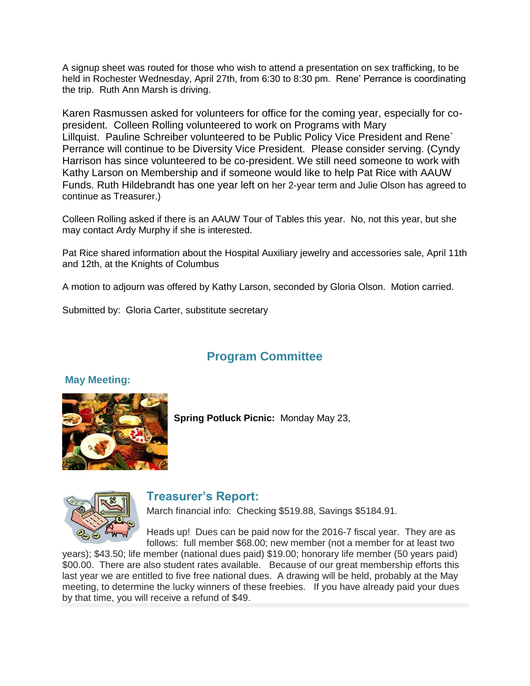A signup sheet was routed for those who wish to attend a presentation on sex trafficking, to be held in Rochester Wednesday, April 27th, from 6:30 to 8:30 pm. Rene' Perrance is coordinating the trip. Ruth Ann Marsh is driving.

Karen Rasmussen asked for volunteers for office for the coming year, especially for copresident. Colleen Rolling volunteered to work on Programs with Mary Lillquist. Pauline Schreiber volunteered to be Public Policy Vice President and Rene` Perrance will continue to be Diversity Vice President. Please consider serving. (Cyndy Harrison has since volunteered to be co-president. We still need someone to work with Kathy Larson on Membership and if someone would like to help Pat Rice with AAUW Funds. Ruth Hildebrandt has one year left on her 2-year term and Julie Olson has agreed to continue as Treasurer.)

Colleen Rolling asked if there is an AAUW Tour of Tables this year. No, not this year, but she may contact Ardy Murphy if she is interested.

Pat Rice shared information about the Hospital Auxiliary jewelry and accessories sale, April 11th and 12th, at the Knights of Columbus

A motion to adjourn was offered by Kathy Larson, seconded by Gloria Olson. Motion carried.

Submitted by: Gloria Carter, substitute secretary

## **Program Committee**

#### **May Meeting:**



**Spring Potluck Picnic:** Monday May 23,



## **Treasurer's Report:**

March financial info: Checking \$519.88, Savings \$5184.91.

Heads up! Dues can be paid now for the 2016-7 fiscal year. They are as follows: full member \$68.00; new member (not a member for at least two

years); \$43.50; life member (national dues paid) \$19.00; honorary life member (50 years paid) \$00.00. There are also student rates available. Because of our great membership efforts this last year we are entitled to five free national dues. A drawing will be held, probably at the May meeting, to determine the lucky winners of these freebies. If you have already paid your dues by that time, you will receive a refund of \$49.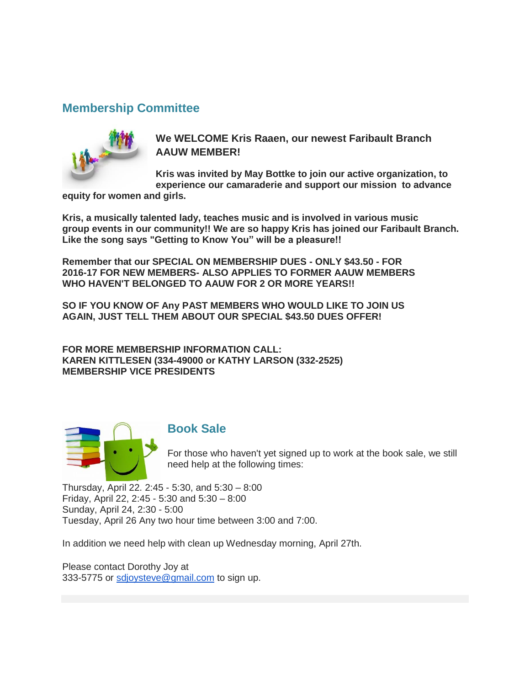## **Membership Committee**



**We WELCOME Kris Raaen, our newest Faribault Branch AAUW MEMBER!**

**Kris was invited by May Bottke to join our active organization, to experience our camaraderie and support our mission to advance** 

**equity for women and girls.**

**Kris, a musically talented lady, teaches music and is involved in various music group events in our community!! We are so happy Kris has joined our Faribault Branch. Like the song says "Getting to Know You" will be a pleasure!!**

**Remember that our SPECIAL ON MEMBERSHIP DUES - ONLY \$43.50 - FOR 2016-17 FOR NEW MEMBERS- ALSO APPLIES TO FORMER AAUW MEMBERS WHO HAVEN'T BELONGED TO AAUW FOR 2 OR MORE YEARS!!**

**SO IF YOU KNOW OF Any PAST MEMBERS WHO WOULD LIKE TO JOIN US AGAIN, JUST TELL THEM ABOUT OUR SPECIAL \$43.50 DUES OFFER!**

**FOR MORE MEMBERSHIP INFORMATION CALL: KAREN KITTLESEN (334-49000 or KATHY LARSON (332-2525) MEMBERSHIP VICE PRESIDENTS**



### **Book Sale**

For those who haven't yet signed up to work at the book sale, we still need help at the following times:

Thursday, April 22. 2:45 - 5:30, and 5:30 – 8:00 Friday, April 22, 2:45 - 5:30 and 5:30 – 8:00 Sunday, April 24, 2:30 - 5:00 Tuesday, April 26 Any two hour time between 3:00 and 7:00.

In addition we need help with clean up Wednesday morning, April 27th.

Please contact Dorothy Joy at 333-5775 or [sdjoysteve@gmail.com](mailto:sdjoysteve@gmail.com) to sign up.